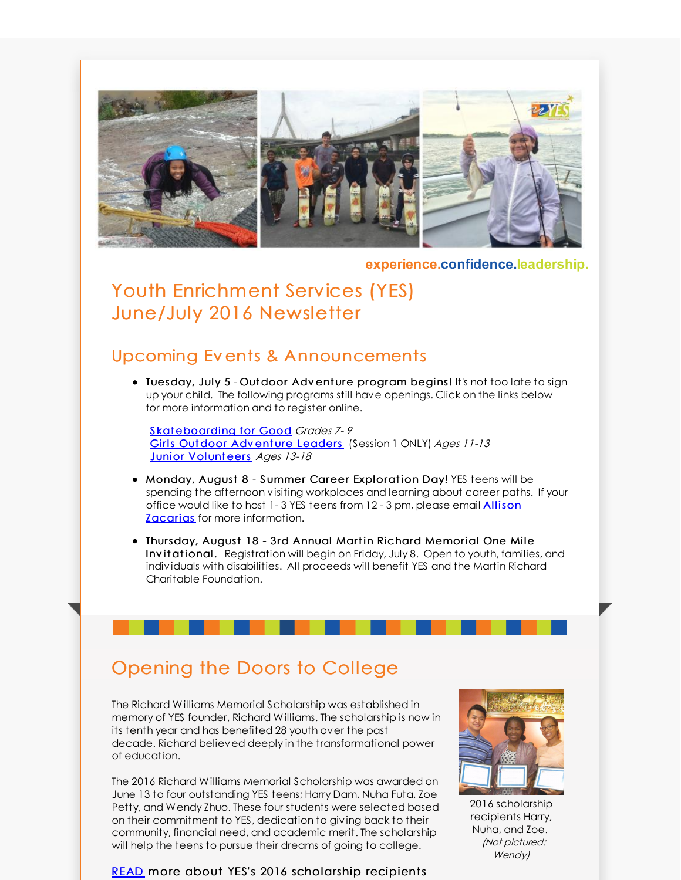

**experience.confidence.leadership.**

## Youth Enrichment Services (YES) June/July 2016 Newsletter

#### Upcoming Ev ents & Announcements

• Tuesday, July 5 - Outdoor Adventure program begins! It's not too late to sign up your child. The following programs still have openings. Click on the links below for more information and to register online.

Skat[eboarding](http://r20.rs6.net/tn.jsp?f=001FgeBxbEF7Wde-XRQubxEWhrq-vSZ1o45e-_dvkXF8iw0QBny0iKneedfdU5qBl3yLbAMvaa8rJPrtavcWWGJ5GUVFarsOZy6luvW9sbcytQtaglsbCbT75Lx0OeONoUpiUK3RFTbaABX9R7RLWTUVllW8sEFx1xJiQu5sOPaxeVpBOdjth8OpqgeykQ-wkorLYlv0uZIhvZzGc-UbZQZzDQUxx8vsbOID2JbRB8iWkQ=&c=&ch=) for Good Grades 7-9 Girls [Outdoor](http://r20.rs6.net/tn.jsp?f=001FgeBxbEF7Wde-XRQubxEWhrq-vSZ1o45e-_dvkXF8iw0QBny0iKneedfdU5qBl3yhZvwhjr6e8OvB2BZ0G31a1s6SgM5NOcY5OqMP1YFZKlL2CBriKdtlVLX6IZqtn_3RfU7E72TLij7vbfLNVvd1TmVtKKzR2ZRIhEPakV3Ayw4tt90t9sPZJsvnk3Rm5OMfp5k-M58w1kt4ULUWTbjhx5VKLYemC6mFwQ_B1dz0gFo3E2codYf-KhbGQutncKc87Zdyn6cA28=&c=&ch=) Adventure Leaders (Session 1 ONLY) Ages 11-13 Junior [Volunt](http://r20.rs6.net/tn.jsp?f=001FgeBxbEF7Wde-XRQubxEWhrq-vSZ1o45e-_dvkXF8iw0QBny0iKneUlyK7MZ4cSp6XzLyvPFfXnRSO-oreEtntIZHm9xD-ThIFrVQ0KFlvg30wRO9tJ4GEz82RELmyrOOvSG1oXp1ZqZpClzyycPtDTPC6MFt9kFNyLOLNFgLhTacMHp9vCplWBWGkwkcEDVvrHD4o-2QEln-5eToa-yJ6t4ILu_cHapy8XIzV1z0YPezVeKFArBoyfZVLe6dVTy&c=&ch=)eers Ages 13-18

- Monday, August 8 Summer Career Exploration Day! YES teens will be spending the afternoon visiting workplaces and learning about career paths. If your office would like to host 1-3 YES teens from 12 - 3 pm, please email **Allison Zacarias** for more [information.](mailto:collegeprep@yeskids.org)
- Thursday, August 18 3rd Annual Martin Richard Memorial One Mile Inv itational. Registration will begin on Friday, July 8. Open to youth, families, and individuals with disabilities. All proceeds will benefit YES and the Martin Richard Charitable Foundation.

# Opening the Doors to College

The Richard Williams Memorial Scholarship was established in memory of YES founder, Richard Williams. The scholarship is now in its tenth year and has benefited 28 youth over the past decade. Richard believed deeply in the transformational power of education.

The 2016 Richard Williams Memorial Scholarship was awarded on June 13 to four outstanding YES teens; Harry Dam, Nuha Futa, Zoe Petty, and Wendy Zhuo. These four students were selected based on their commitment to YES, dedication to giving back to their community, financial need, and academic merit. The scholarship will help the teens to pursue their dreams of going to college.





2016 scholarship recipients Harry, Nuha, and Zoe. (Not pictured: Wendy)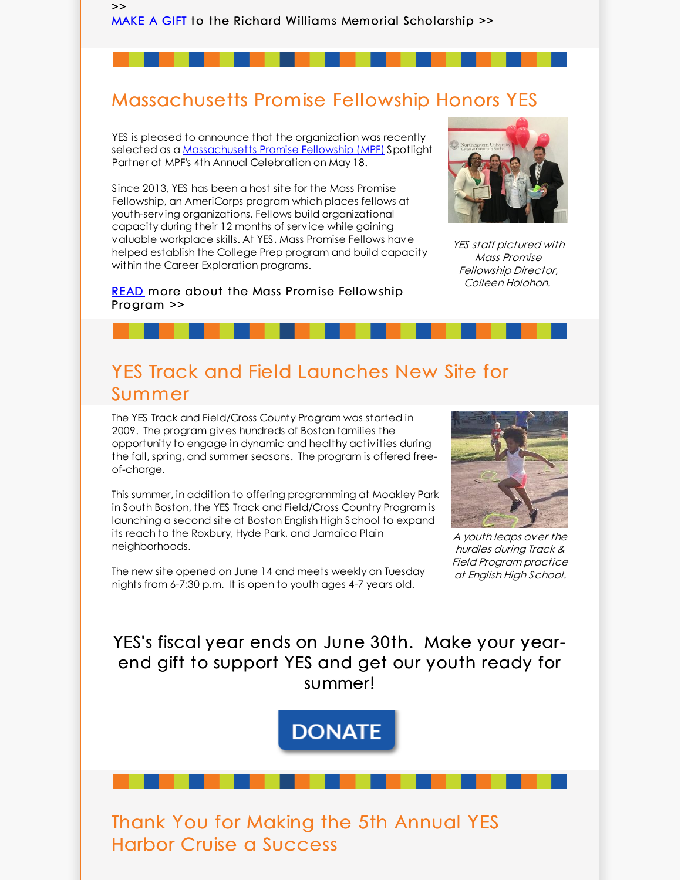[MAKE](http://r20.rs6.net/tn.jsp?f=001FgeBxbEF7Wde-XRQubxEWhrq-vSZ1o45e-_dvkXF8iw0QBny0iKneeyVsv2e0XsjqSi7pV_i5nY1gaa5ktYPL8NxE4bwg5dA-ljVbikkV2gYoBScEGGLXyu39NthyLSxcFAQO2m2Vj-1TqgsM521BRHFnt_uXQ6cv-Hhykn1hhljsgH5Nt_paw==&c=&ch=) A GIFT to the Richard Williams Memorial Scholarship >>

### Massachusetts Promise Fellowship Honors YES

YES is pleased to announce that the organization was recently selected as a [Massachusetts](http://r20.rs6.net/tn.jsp?f=001FgeBxbEF7Wde-XRQubxEWhrq-vSZ1o45e-_dvkXF8iw0QBny0iKneedfdU5qBl3yfvSWucf2LtVdDU1wiNCzwr6-H2ZVxuIGuRL-NsHwU3BA6KTF1IT1g9zQWbYXSCHSAJFKrqiIoGIkyYsWPb0aGo7u4MEBbR1NiFhbgtw9-ZPb8ELwisllmA==&c=&ch=) Promise Fellowship (MPF) Spotlight Partner at MPF's 4th Annual Celebration on May 18.

>>

Since 2013, YES has been a host site for the Mass Promise Fellowship, an AmeriCorps program which places fellows at youth-serving organizations. Fellows build organizational capacity during their 12 months of service while gaining valuable workplace skills. At YES, Mass Promise Fellows have helped establish the College Prep program and build capacity within the Career Exploration programs.

[READ](http://r20.rs6.net/tn.jsp?f=001FgeBxbEF7Wde-XRQubxEWhrq-vSZ1o45e-_dvkXF8iw0QBny0iKneedfdU5qBl3ymfUWbgxmu0Bmo8BfLN1KVyMP_-LzCUnFdoMW7Pb8kZhfBXI1rznB3UeRdGKm6RL3iwCyUTALx5cr5ZMJzdbY4u5z0ZB_kPxjIH8G-1dylOT3U2OdT80P3YSLkfGpwu7h8N0GqFgYyMsIFUTo8zyrpXXGCjUhdjClOfMnDVGe5Tk_ZIhf8-URa52GpJrax_R_VYOwAz3kj1dpwAVSyHtji3F3vHhx4mGPaA8rxxSU9EE=&c=&ch=) more about the Mass Promise Fellowship Program >>



YES staff pictured with Mass Promise Fellowship Director, Colleen Holohan.

### YES Track and Field Launches New Site for Summer

The YES Track and Field/Cross County Program was started in 2009. The program gives hundreds of Boston families the opportunity to engage in dynamic and healthy activities during the fall, spring, and summer seasons. The program is offered freeof-charge.

This summer, in addition to offering programming at Moakley Park in South Boston, the YES Track and Field/Cross Country Program is launching a second site at Boston English High School to expand its reach to the Roxbury, Hyde Park, and Jamaica Plain neighborhoods.

The new site opened on June 14 and meets weekly on Tuesday nights from 6-7:30 p.m. It is open to youth ages 4-7 years old.



A youth leaps over the hurdles during Track & Field Program practice at English High School.

YES's fiscal year ends on June 30th. Make your yearend gift to support YES and get our youth ready for summer!

**DONATE** 

Thank You for Making the 5th Annual YES Harbor Cruise a Success